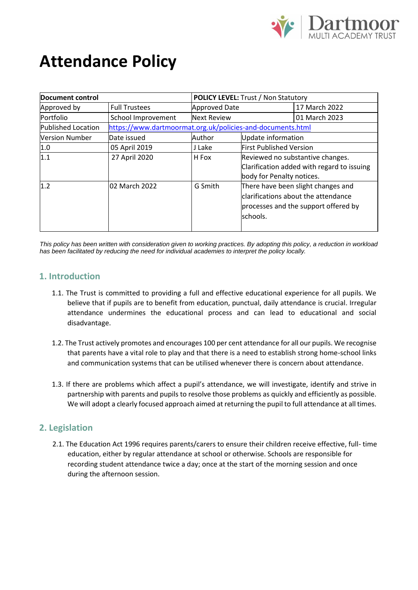

# **Attendance Policy**

| <b>Document control</b> |                                                            | <b>POLICY LEVEL: Trust / Non Statutory</b> |                                      |                                            |  |
|-------------------------|------------------------------------------------------------|--------------------------------------------|--------------------------------------|--------------------------------------------|--|
| Approved by             | <b>Full Trustees</b>                                       | <b>Approved Date</b>                       |                                      | 17 March 2022                              |  |
| Portfolio               | School Improvement                                         | <b>Next Review</b>                         |                                      | 01 March 2023                              |  |
| Published Location      | https://www.dartmoormat.org.uk/policies-and-documents.html |                                            |                                      |                                            |  |
| <b>Version Number</b>   | Date issued                                                | Author                                     |                                      | Update information                         |  |
| 1.0                     | 05 April 2019                                              | J Lake                                     |                                      | <b>First Published Version</b>             |  |
| 1.1                     | 27 April 2020                                              | H Fox                                      | Reviewed no substantive changes.     |                                            |  |
|                         |                                                            |                                            |                                      | Clarification added with regard to issuing |  |
|                         |                                                            |                                            |                                      | body for Penalty notices.                  |  |
| 1.2                     | 02 March 2022                                              | G Smith                                    | There have been slight changes and   |                                            |  |
|                         |                                                            |                                            | clarifications about the attendance  |                                            |  |
|                         |                                                            |                                            | processes and the support offered by |                                            |  |
|                         |                                                            |                                            | schools.                             |                                            |  |
|                         |                                                            |                                            |                                      |                                            |  |

*This policy has been written with consideration given to working practices. By adopting this policy, a reduction in workload has been facilitated by reducing the need for individual academies to interpret the policy locally.*

#### **1. Introduction**

- 1.1. The Trust is committed to providing a full and effective educational experience for all pupils. We believe that if pupils are to benefit from education, punctual, daily attendance is crucial. Irregular attendance undermines the educational process and can lead to educational and social disadvantage.
- 1.2. The Trust actively promotes and encourages 100 per cent attendance for all our pupils. We recognise that parents have a vital role to play and that there is a need to establish strong home-school links and communication systems that can be utilised whenever there is concern about attendance.
- 1.3. If there are problems which affect a pupil's attendance, we will investigate, identify and strive in partnership with parents and pupils to resolve those problems as quickly and efficiently as possible. We will adopt a clearly focused approach aimed at returning the pupil to full attendance at all times.

#### **2. Legislation**

2.1. The Education Act 1996 requires parents/carers to ensure their children receive effective, full- time education, either by regular attendance at school or otherwise. Schools are responsible for recording student attendance twice a day; once at the start of the morning session and once during the afternoon session.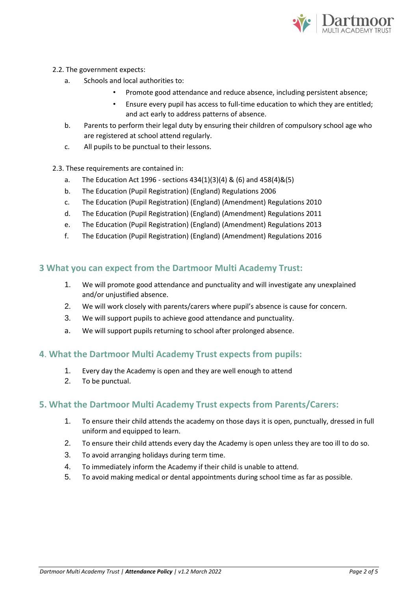

- 2.2. The government expects:
	- a. Schools and local authorities to:
		- Promote good attendance and reduce absence, including persistent absence;
		- Ensure every pupil has access to full-time education to which they are entitled; and act early to address patterns of absence.
	- b. Parents to perform their legal duty by ensuring their children of compulsory school age who are registered at school attend regularly.
	- c. All pupils to be punctual to their lessons.
- 2.3. These requirements are contained in:
	- a. The Education Act 1996 sections 434(1)(3)(4) & (6) and 458(4)&(5)
	- b. The Education (Pupil Registration) (England) Regulations 2006
	- c. The Education (Pupil Registration) (England) (Amendment) Regulations 2010
	- d. The Education (Pupil Registration) (England) (Amendment) Regulations 2011
	- e. The Education (Pupil Registration) (England) (Amendment) Regulations 2013
	- f. The Education (Pupil Registration) (England) (Amendment) Regulations 2016

#### **3 What you can expect from the Dartmoor Multi Academy Trust:**

- 1. We will promote good attendance and punctuality and will investigate any unexplained and/or unjustified absence.
- 2. We will work closely with parents/carers where pupil's absence is cause for concern.
- 3. We will support pupils to achieve good attendance and punctuality.
- a. We will support pupils returning to school after prolonged absence.

#### **4**. **What the Dartmoor Multi Academy Trust expects from pupils:**

- 1. Every day the Academy is open and they are well enough to attend
- 2. To be punctual.

#### **5. What the Dartmoor Multi Academy Trust expects from Parents/Carers:**

- 1. To ensure their child attends the academy on those days it is open, punctually, dressed in full uniform and equipped to learn.
- 2. To ensure their child attends every day the Academy is open unless they are too ill to do so.
- 3. To avoid arranging holidays during term time.
- 4. To immediately inform the Academy if their child is unable to attend.
- 5. To avoid making medical or dental appointments during school time as far as possible.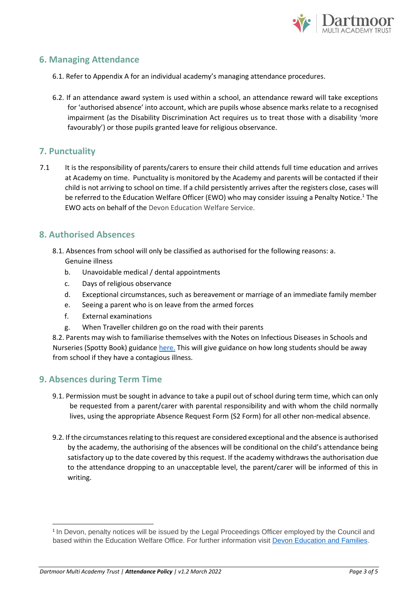<span id="page-2-0"></span>

#### **6. Managing Attendance**

- 6.1. Refer to Appendix A for an individual academy's managing attendance procedures.
- 6.2. If an attendance award system is used within a school, an attendance reward will take exceptions for 'authorised absence' into account, which are pupils whose absence marks relate to a recognised impairment (as the Disability Discrimination Act requires us to treat those with a disability 'more favourably') or those pupils granted leave for religious observance.

#### **7. Punctuality**

7.1 It is the responsibility of parents/carers to ensure their child attends full time education and arrives at Academy on time. Punctuality is monitored by the Academy and parents will be contacted if their child is not arriving to school on time. If a child persistently arrives after the registers close, cases will be referred to the Education Welfare Officer (EWO) who may consider issuing a Penalty Notice. <sup>1</sup> The EWO acts on behalf of the Devon Education Welfare Service.

#### **8. Authorised Absences**

- 8.1. Absences from school will only be classified as authorised for the following reasons: a. Genuine illness
	- b. Unavoidable medical / dental appointments
	- c. Days of religious observance
	- d. Exceptional circumstances, such as bereavement or marriage of an immediate family member
	- e. Seeing a parent who is on leave from the armed forces
	- f. External examinations
	- g. When Traveller children go on the road with their parents

8.2. Parents may wish to familiarise themselves with the Notes on Infectious Diseases in Schools and Nurseries (Spotty Book) guidance [here.](https://www.england.nhs.uk/south/wp-content/uploads/sites/6/2019/09/spotty-book-2019-.pdf) This will give guidance on how long students should be away from school if they have a contagious illness.

#### **9. Absences during Term Time**

- 9.1. Permission must be sought in advance to take a pupil out of school during term time, which can only be requested from a parent/carer with parental responsibility and with whom the child normally lives, using the appropriate Absence Request Form (S2 Form) for all other non-medical absence.
- 9.2. If the circumstances relating to this request are considered exceptional and the absence is authorised by the academy, the authorising of the absences will be conditional on the child's attendance being satisfactory up to the date covered by this request. If the academy withdraws the authorisation due to the attendance dropping to an unacceptable level, the parent/carer will be informed of this in writing.

<sup>&</sup>lt;sup>1</sup> In Devon, penalty notices will be issued by the Legal Proceedings Officer employed by the Council and based within the Education Welfare Office. For further information visit [Devon Education and Families.](https://www.devon.gov.uk/educationandfamilies/school-information/school-attendance/absence-from-school-penalty-notices/absence-from-school-penalty-notices-code-of-conduct)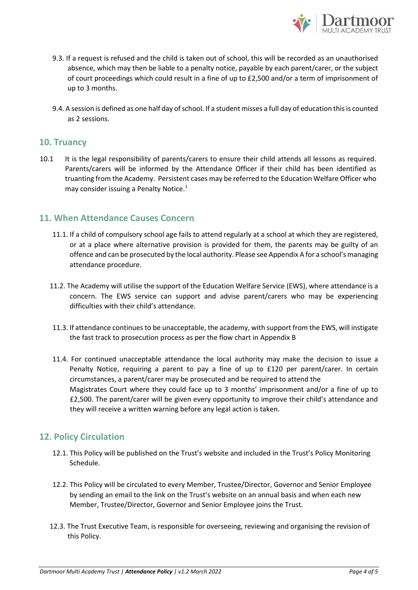

- 9.3. If a request is refused and the child is taken out of school, this will be recorded as an unauthorised absence, which may then be liable to a penalty notice, payable by each parent/carer, or the subject of court proceedings which could result in a fine of up to £2,500 and/or a term of imprisonment of up to 3 months.
- 9.4. A session is defined as one half day of school. If a student misses a full day of education this is counted as 2 sessions.

#### **10. Truancy**

10.1 It is the legal responsibility of parents/carers to ensure their child attends all lessons as required. Parents/carers will be informed by the Attendance Officer if their child has been identified as truanting from the Academy. Persistent cases may be referred to the Education Welfare Officer who may consider issuing a Penalty Notice[.](#page-2-0) 1

#### **11. When Attendance Causes Concern**

- 11.1. If a child of compulsory school age fails to attend regularly at a school at which they are registered, or at a place where alternative provision is provided for them, the parents may be guilty of an offence and can be prosecuted by the local authority. Please see Appendix A for a school's managing attendance procedure.
- 11.2. The Academy will utilise the support of the Education Welfare Service (EWS), where attendance is a concern. The EWS service can support and advise parent/carers who may be experiencing difficulties with their child's attendance.
- 11.3. If attendance continues to be unacceptable, the academy, with support from the EWS, will instigate the fast track to prosecution process as per the flow chart in Appendix B
- 11.4. For continued unacceptable attendance the local authority may make the decision to issue a Penalty Notice, requiring a parent to pay a fine of up to £120 per parent/carer. In certain circumstances, a parent/carer may be prosecuted and be required to attend the Magistrates Court where they could face up to 3 months' imprisonment and/or a fine of up to £2,500. The parent/carer will be given every opportunity to improve their child's attendance and they will receive a written warning before any legal action is taken.

### **12. Policy Circulation**

- 12.1. This Policy will be published on the Trust's website and included in the Trust's Policy Monitoring Schedule.
- 12.2. This Policy will be circulated to every Member, Trustee/Director, Governor and Senior Employee by sending an email to the link on the Trust's website on an annual basis and when each new Member, Trustee/Director, Governor and Senior Employee joins the Trust.
- 12.3. The Trust Executive Team, is responsible for overseeing, reviewing and organising the revision of this Policy.